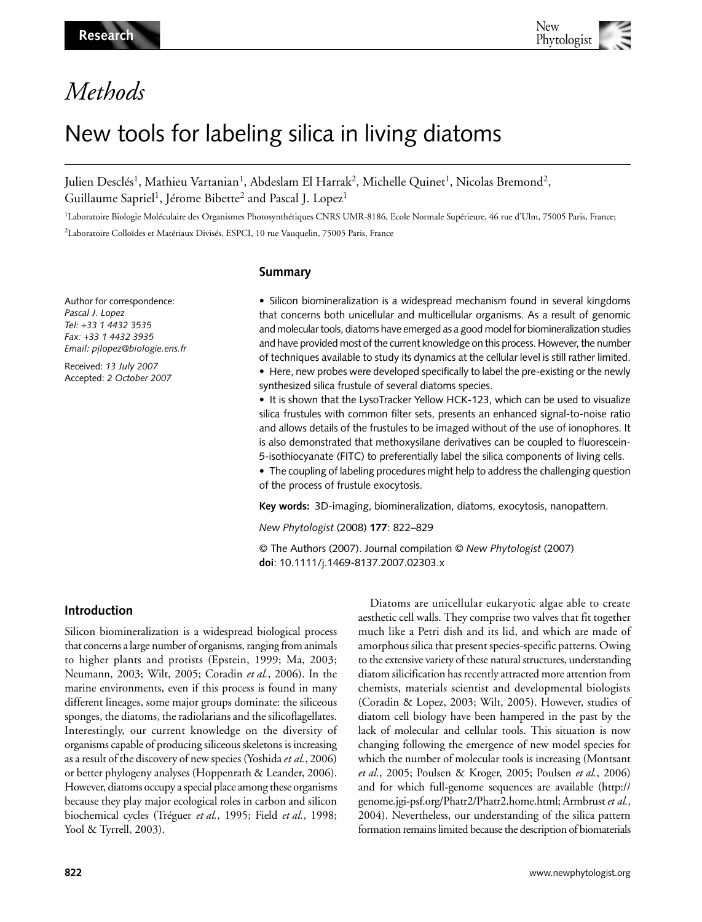# $Methods$

# New tools for labeling silica in living diatoms

Julien Desclés<sup>1</sup>, Mathieu Vartanian<sup>1</sup>, Abdeslam El Harrak<sup>2</sup>, Michelle Quinet<sup>1</sup>, Nicolas Bremond<sup>2</sup>, Guillaume Sapriel<sup>1</sup>, Jérome Bibette<sup>2</sup> and Pascal J. Lopez<sup>1</sup>

<sup>1</sup>Laboratoire Biologie Moléculaire des Organismes Photosynthétiques CNRS UMR-8186, Ecole Normale Supérieure, 46 rue d'Ulm, 75005 Paris, France; 2 Laboratoire Colloïdes et Matériaux Divisés, ESPCI, 10 rue Vauquelin, 75005 Paris, France

# **Summary**

Author for correspondence: *Pascal J. Lopez Tel:* +*33 1 4432 3535 Fax:* +*33 1 4432 3935 Email: pjlopez@biologie.ens.fr*

Received: *13 July 2007* Accepted: *2 October 2007*

• Silicon biomineralization is a widespread mechanism found in several kingdoms that concerns both unicellular and multicellular organisms. As a result of genomic and molecular tools, diatoms have emerged as a good model for biomineralization studies and have provided most of the current knowledge on this process. However, the number of techniques available to study its dynamics at the cellular level is still rather limited.

• Here, new probes were developed specifically to label the pre-existing or the newly synthesized silica frustule of several diatoms species.

• It is shown that the LysoTracker Yellow HCK-123, which can be used to visualize silica frustules with common filter sets, presents an enhanced signal-to-noise ratio and allows details of the frustules to be imaged without of the use of ionophores. It is also demonstrated that methoxysilane derivatives can be coupled to fluorescein-5-isothiocyanate (FITC) to preferentially label the silica components of living cells.

• The coupling of labeling procedures might help to address the challenging question of the process of frustule exocytosis.

**Key words:** 3D-imaging, biomineralization, diatoms, exocytosis, nanopattern.

*New Phytologist* (2008) **177**: 822–829

© The Authors (2007). Journal compilation © *New Phytologist* (2007) **doi**: 10.1111/j.1469-8137.2007.02303.x

# **Introduction**

Silicon biomineralization is a widespread biological process that concerns a large number of organisms, ranging from animals to higher plants and protists (Epstein, 1999; Ma, 2003; Neumann, 2003; Wilt, 2005; Coradin *et al.*, 2006). In the marine environments, even if this process is found in many different lineages, some major groups dominate: the siliceous sponges, the diatoms, the radiolarians and the silicoflagellates. Interestingly, our current knowledge on the diversity of organisms capable of producing siliceous skeletons is increasing as a result of the discovery of new species (Yoshida *et al.*, 2006) or better phylogeny analyses (Hoppenrath & Leander, 2006). However, diatoms occupy a special place among these organisms because they play major ecological roles in carbon and silicon biochemical cycles (Tréguer *et al.*, 1995; Field *et al.*, 1998; Yool & Tyrrell, 2003).

Diatoms are unicellular eukaryotic algae able to create aesthetic cell walls. They comprise two valves that fit together much like a Petri dish and its lid, and which are made of amorphous silica that present species-specific patterns. Owing to the extensive variety of these natural structures, understanding diatom silicification has recently attracted more attention from chemists, materials scientist and developmental biologists (Coradin & Lopez, 2003; Wilt, 2005). However, studies of diatom cell biology have been hampered in the past by the lack of molecular and cellular tools. This situation is now changing following the emergence of new model species for which the number of molecular tools is increasing (Montsant *et al.*, 2005; Poulsen & Kroger, 2005; Poulsen *et al.*, 2006) and for which full-genome sequences are available [\(http://](http://) genome.jgi-psf.org/Phatr2/Phatr2.home.html; Armbrust *et al.*, 2004). Nevertheless, our understanding of the silica pattern formation remains limited because the description of biomaterials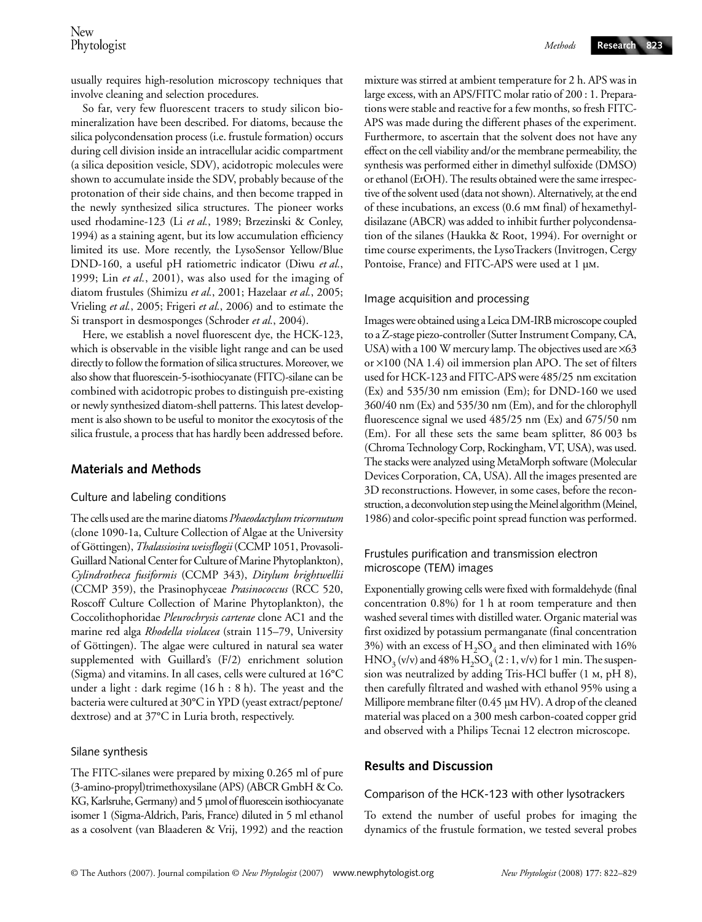usually requires high-resolution microscopy techniques that involve cleaning and selection procedures.

So far, very few fluorescent tracers to study silicon biomineralization have been described. For diatoms, because the silica polycondensation process (i.e. frustule formation) occurs during cell division inside an intracellular acidic compartment (a silica deposition vesicle, SDV), acidotropic molecules were shown to accumulate inside the SDV, probably because of the protonation of their side chains, and then become trapped in the newly synthesized silica structures. The pioneer works used rhodamine-123 (Li *et al.*, 1989; Brzezinski & Conley, 1994) as a staining agent, but its low accumulation efficiency limited its use. More recently, the LysoSensor Yellow/Blue DND-160, a useful pH ratiometric indicator (Diwu *et al.*, 1999; Lin *et al.*, 2001), was also used for the imaging of diatom frustules (Shimizu *et al.*, 2001; Hazelaar *et al.*, 2005; Vrieling *et al.*, 2005; Frigeri *et al.*, 2006) and to estimate the Si transport in desmosponges (Schroder *et al.*, 2004).

Here, we establish a novel fluorescent dye, the HCK-123, which is observable in the visible light range and can be used directly to follow the formation of silica structures. Moreover, we also show that fluorescein-5-isothiocyanate (FITC)-silane can be combined with acidotropic probes to distinguish pre-existing or newly synthesized diatom-shell patterns. This latest development is also shown to be useful to monitor the exocytosis of the silica frustule, a process that has hardly been addressed before.

# **Materials and Methods**

#### Culture and labeling conditions

The cells used are the marine diatoms *Phaeodactylum tricornutum* (clone 1090-1a, Culture Collection of Algae at the University of Göttingen), *Thalassiosira weissflogii* (CCMP 1051, Provasoli-Guillard National Center for Culture of Marine Phytoplankton), *Cylindrotheca fusiformis* (CCMP 343), *Ditylum brightwellii* (CCMP 359), the Prasinophyceae *Prasinococcus* (RCC 520, Roscoff Culture Collection of Marine Phytoplankton), the Coccolithophoridae *Pleurochrysis carterae* clone AC1 and the marine red alga *Rhodella violacea* (strain 115–79, University of Göttingen). The algae were cultured in natural sea water supplemented with Guillard's (F/2) enrichment solution (Sigma) and vitamins. In all cases, cells were cultured at 16°C under a light : dark regime (16 h : 8 h). The yeast and the bacteria were cultured at 30°C in YPD (yeast extract/peptone/ dextrose) and at 37°C in Luria broth, respectively.

#### Silane synthesis

The FITC-silanes were prepared by mixing 0.265 ml of pure (3-amino-propyl)trimethoxysilane (APS) (ABCR GmbH & Co. KG, Karlsruhe, Germany) and 5 µmol of fluorescein isothiocyanate isomer 1 (Sigma-Aldrich, Paris, France) diluted in 5 ml ethanol as a cosolvent (van Blaaderen & Vrij, 1992) and the reaction

mixture was stirred at ambient temperature for 2 h. APS was in large excess, with an APS/FITC molar ratio of 200 : 1. Preparations were stable and reactive for a few months, so fresh FITC-APS was made during the different phases of the experiment. Furthermore, to ascertain that the solvent does not have any effect on the cell viability and/or the membrane permeability, the synthesis was performed either in dimethyl sulfoxide (DMSO) or ethanol (EtOH). The results obtained were the same irrespective of the solvent used (data not shown). Alternatively, at the end of these incubations, an excess (0.6 mm final) of hexamethyldisilazane (ABCR) was added to inhibit further polycondensation of the silanes (Haukka & Root, 1994). For overnight or time course experiments, the LysoTrackers (Invitrogen, Cergy Pontoise, France) and FITC-APS were used at 1 µm.

#### Image acquisition and processing

Images were obtained using a Leica DM-IRB microscope coupled to a Z-stage piezo-controller (Sutter Instrument Company, CA, USA) with a 100 W mercury lamp. The objectives used are ×63 or ×100 (NA 1.4) oil immersion plan APO. The set of filters used for HCK-123 and FITC-APS were 485/25 nm excitation (Ex) and 535/30 nm emission (Em); for DND-160 we used 360/40 nm (Ex) and 535/30 nm (Em), and for the chlorophyll fluorescence signal we used 485/25 nm (Ex) and 675/50 nm (Em). For all these sets the same beam splitter, 86 003 bs (Chroma Technology Corp, Rockingham, VT, USA), was used. The stacks were analyzed using MetaMorph software (Molecular Devices Corporation, CA, USA). All the images presented are 3D reconstructions. However, in some cases, before the reconstruction, a deconvolution step using the Meinel algorithm (Meinel, 1986) and color-specific point spread function was performed.

# Frustules purification and transmission electron microscope (TEM) images

Exponentially growing cells were fixed with formaldehyde (final concentration 0.8%) for 1 h at room temperature and then washed several times with distilled water. Organic material was first oxidized by potassium permanganate (final concentration 3%) with an excess of  $H_2SO_4$  and then eliminated with 16%  $HNO<sub>3</sub>(v/v)$  and 48%  $H<sub>2</sub>SO<sub>4</sub>(2:1, v/v)$  for 1 min. The suspension was neutralized by adding Tris-HCl buffer (1 m, pH 8), then carefully filtrated and washed with ethanol 95% using a Millipore membrane filter (0.45 µm HV). A drop of the cleaned material was placed on a 300 mesh carbon-coated copper grid and observed with a Philips Tecnai 12 electron microscope.

#### **Results and Discussion**

#### Comparison of the HCK-123 with other lysotrackers

To extend the number of useful probes for imaging the dynamics of the frustule formation, we tested several probes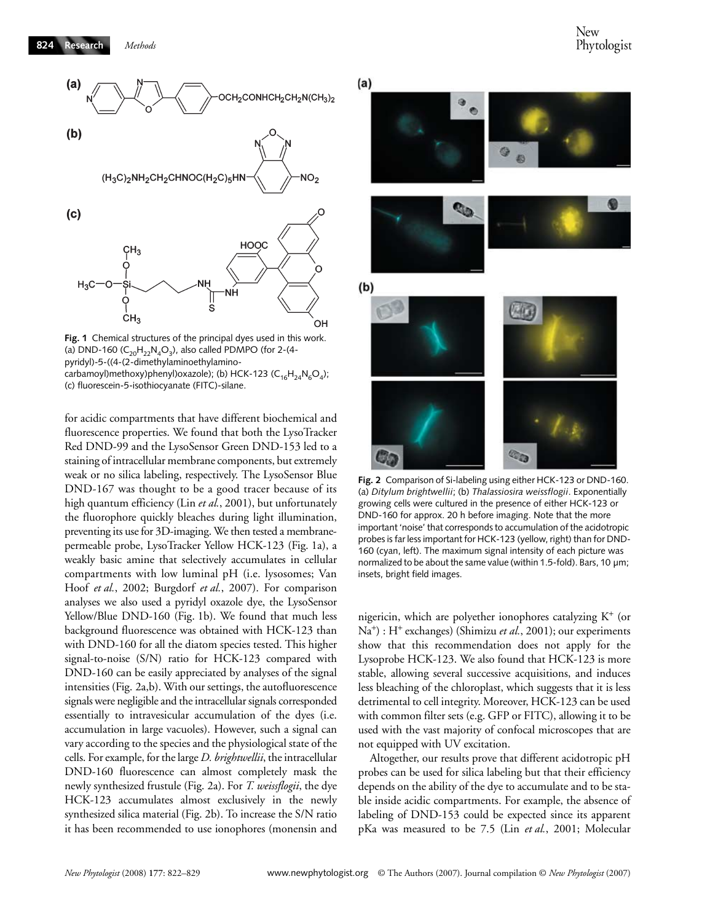



**Fig. 1** Chemical structures of the principal dyes used in this work. (a) DND-160 ( $C_{20}H_{22}N_4O_3$ ), also called PDMPO (for 2-(4pyridyl)-5-((4-(2-dimethylaminoethylaminocarbamoyl)methoxy)phenyl)oxazole); (b) HCK-123 (C<sub>16</sub>H<sub>24</sub>N<sub>6</sub>O<sub>4</sub>); (c) fluorescein-5-isothiocyanate (FITC)-silane.

for acidic compartments that have different biochemical and fluorescence properties. We found that both the LysoTracker Red DND-99 and the LysoSensor Green DND-153 led to a staining of intracellular membrane components, but extremely weak or no silica labeling, respectively. The LysoSensor Blue DND-167 was thought to be a good tracer because of its high quantum efficiency (Lin *et al.*, 2001), but unfortunately the fluorophore quickly bleaches during light illumination, preventing its use for 3D-imaging. We then tested a membranepermeable probe, LysoTracker Yellow HCK-123 (Fig. 1a), a weakly basic amine that selectively accumulates in cellular compartments with low luminal pH (i.e. lysosomes; Van Hoof *et al.*, 2002; Burgdorf *et al.*, 2007). For comparison analyses we also used a pyridyl oxazole dye, the LysoSensor Yellow/Blue DND-160 (Fig. 1b). We found that much less background fluorescence was obtained with HCK-123 than with DND-160 for all the diatom species tested. This higher signal-to-noise (S/N) ratio for HCK-123 compared with DND-160 can be easily appreciated by analyses of the signal intensities (Fig. 2a,b). With our settings, the autofluorescence signals were negligible and the intracellular signals corresponded essentially to intravesicular accumulation of the dyes (i.e. accumulation in large vacuoles). However, such a signal can vary according to the species and the physiological state of the cells. For example, for the large *D. brightwellii*, the intracellular DND-160 fluorescence can almost completely mask the newly synthesized frustule (Fig. 2a). For *T. weissflogii*, the dye HCK-123 accumulates almost exclusively in the newly synthesized silica material (Fig. 2b). To increase the S/N ratio it has been recommended to use ionophores (monensin and



**Fig. 2** Comparison of Si-labeling using either HCK-123 or DND-160. (a) *Ditylum brightwellii*; (b) *Thalassiosira weissflogii*. Exponentially growing cells were cultured in the presence of either HCK-123 or DND-160 for approx. 20 h before imaging. Note that the more important 'noise' that corresponds to accumulation of the acidotropic probes is far less important for HCK-123 (yellow, right) than for DND-160 (cyan, left). The maximum signal intensity of each picture was normalized to be about the same value (within 1.5-fold). Bars, 10 µm; insets, bright field images.

nigericin, which are polyether ionophores catalyzing  $K^+$  (or Na<sup>+</sup>): H<sup>+</sup> exchanges) (Shimizu et al., 2001); our experiments show that this recommendation does not apply for the Lysoprobe HCK-123. We also found that HCK-123 is more stable, allowing several successive acquisitions, and induces less bleaching of the chloroplast, which suggests that it is less detrimental to cell integrity. Moreover, HCK-123 can be used with common filter sets (e.g. GFP or FITC), allowing it to be used with the vast majority of confocal microscopes that are not equipped with UV excitation.

Altogether, our results prove that different acidotropic pH probes can be used for silica labeling but that their efficiency depends on the ability of the dye to accumulate and to be stable inside acidic compartments. For example, the absence of labeling of DND-153 could be expected since its apparent pKa was measured to be 7.5 (Lin *et al.*, 2001; Molecular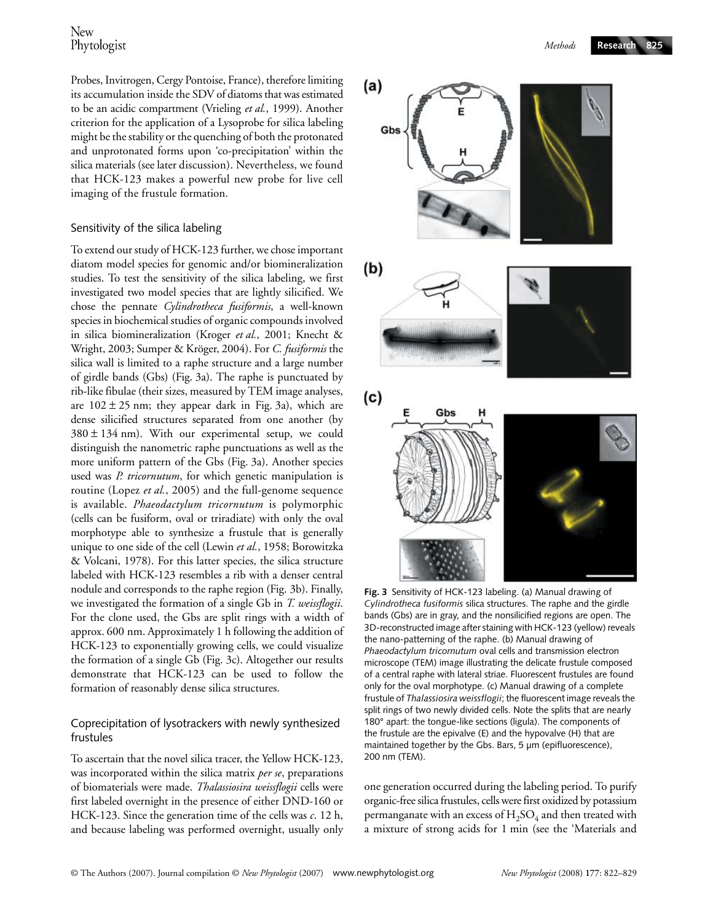Probes, Invitrogen, Cergy Pontoise, France), therefore limiting its accumulation inside the SDV of diatoms that was estimated to be an acidic compartment (Vrieling *et al.*, 1999). Another criterion for the application of a Lysoprobe for silica labeling might be the stability or the quenching of both the protonated and unprotonated forms upon 'co-precipitation' within the silica materials (see later discussion). Nevertheless, we found that HCK-123 makes a powerful new probe for live cell imaging of the frustule formation.

# Sensitivity of the silica labeling

To extend our study of HCK-123 further, we chose important diatom model species for genomic and/or biomineralization studies. To test the sensitivity of the silica labeling, we first investigated two model species that are lightly silicified. We chose the pennate *Cylindrotheca fusiformis*, a well-known species in biochemical studies of organic compounds involved in silica biomineralization (Kroger *et al.*, 2001; Knecht & Wright, 2003; Sumper & Kröger, 2004). For *C. fusiformis* the silica wall is limited to a raphe structure and a large number of girdle bands (Gbs) (Fig. 3a). The raphe is punctuated by rib-like fibulae (their sizes, measured by TEM image analyses, are  $102 \pm 25$  nm; they appear dark in Fig. 3a), which are dense silicified structures separated from one another (by  $380 \pm 134$  nm). With our experimental setup, we could distinguish the nanometric raphe punctuations as well as the more uniform pattern of the Gbs (Fig. 3a). Another species used was *P. tricornutum*, for which genetic manipulation is routine (Lopez *et al.*, 2005) and the full-genome sequence is available. *Phaeodactylum tricornutum* is polymorphic (cells can be fusiform, oval or triradiate) with only the oval morphotype able to synthesize a frustule that is generally unique to one side of the cell (Lewin *et al.*, 1958; Borowitzka & Volcani, 1978). For this latter species, the silica structure labeled with HCK-123 resembles a rib with a denser central nodule and corresponds to the raphe region (Fig. 3b). Finally, we investigated the formation of a single Gb in *T. weissflogii*. For the clone used, the Gbs are split rings with a width of approx. 600 nm. Approximately 1 h following the addition of HCK-123 to exponentially growing cells, we could visualize the formation of a single Gb (Fig. 3c). Altogether our results demonstrate that HCK-123 can be used to follow the formation of reasonably dense silica structures.

# Coprecipitation of lysotrackers with newly synthesized frustules

To ascertain that the novel silica tracer, the Yellow HCK-123, was incorporated within the silica matrix *per se*, preparations of biomaterials were made. *Thalassiosira weissflogii* cells were first labeled overnight in the presence of either DND-160 or HCK-123. Since the generation time of the cells was *c*. 12 h, and because labeling was performed overnight, usually only



**Fig. 3** Sensitivity of HCK-123 labeling. (a) Manual drawing of *Cylindrotheca fusiformis* silica structures. The raphe and the girdle bands (Gbs) are in gray, and the nonsilicified regions are open. The 3D-reconstructed image after staining with HCK-123 (yellow) reveals the nano-patterning of the raphe. (b) Manual drawing of *Phaeodactylum tricornutum* oval cells and transmission electron microscope (TEM) image illustrating the delicate frustule composed of a central raphe with lateral striae. Fluorescent frustules are found only for the oval morphotype. (c) Manual drawing of a complete frustule of *Thalassiosira weissflogii*; the fluorescent image reveals the split rings of two newly divided cells. Note the splits that are nearly 180° apart: the tongue-like sections (ligula). The components of the frustule are the epivalve (E) and the hypovalve (H) that are maintained together by the Gbs. Bars, 5 µm (epifluorescence), 200 nm (TEM).

one generation occurred during the labeling period. To purify organic-free silica frustules, cells were first oxidized by potassium permanganate with an excess of  $H_2SO_4$  and then treated with a mixture of strong acids for 1 min (see the 'Materials and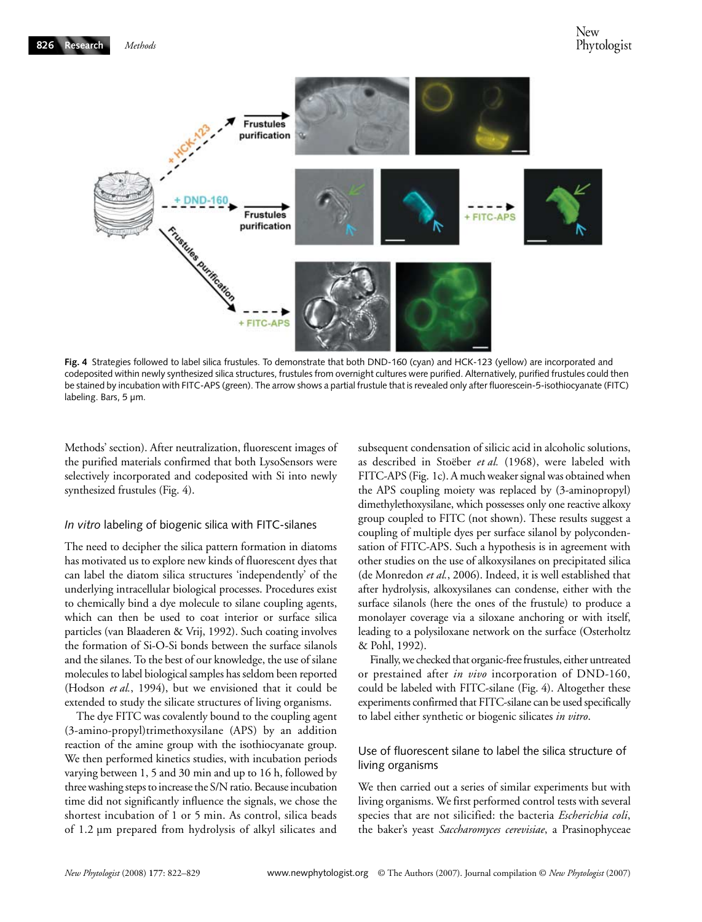**826 Research** *Methods*



**Fig. 4** Strategies followed to label silica frustules. To demonstrate that both DND-160 (cyan) and HCK-123 (yellow) are incorporated and codeposited within newly synthesized silica structures, frustules from overnight cultures were purified. Alternatively, purified frustules could then be stained by incubation with FITC-APS (green). The arrow shows a partial frustule that is revealed only after fluorescein-5-isothiocyanate (FITC) labeling. Bars, 5 µm.

Methods' section). After neutralization, fluorescent images of the purified materials confirmed that both LysoSensors were selectively incorporated and codeposited with Si into newly synthesized frustules (Fig. 4).

#### *In vitro* labeling of biogenic silica with FITC-silanes

The need to decipher the silica pattern formation in diatoms has motivated us to explore new kinds of fluorescent dyes that can label the diatom silica structures 'independently' of the underlying intracellular biological processes. Procedures exist to chemically bind a dye molecule to silane coupling agents, which can then be used to coat interior or surface silica particles (van Blaaderen & Vrij, 1992). Such coating involves the formation of Si-O-Si bonds between the surface silanols and the silanes. To the best of our knowledge, the use of silane molecules to label biological samples has seldom been reported (Hodson *et al.*, 1994), but we envisioned that it could be extended to study the silicate structures of living organisms.

The dye FITC was covalently bound to the coupling agent (3-amino-propyl)trimethoxysilane (APS) by an addition reaction of the amine group with the isothiocyanate group. We then performed kinetics studies, with incubation periods varying between 1, 5 and 30 min and up to 16 h, followed by three washing steps to increase the S/N ratio. Because incubation time did not significantly influence the signals, we chose the shortest incubation of 1 or 5 min. As control, silica beads of 1.2 µm prepared from hydrolysis of alkyl silicates and

subsequent condensation of silicic acid in alcoholic solutions, as described in Stoëber *et al.* (1968), were labeled with FITC-APS (Fig. 1c). A much weaker signal was obtained when the APS coupling moiety was replaced by (3-aminopropyl) dimethylethoxysilane, which possesses only one reactive alkoxy group coupled to FITC (not shown). These results suggest a coupling of multiple dyes per surface silanol by polycondensation of FITC-APS. Such a hypothesis is in agreement with other studies on the use of alkoxysilanes on precipitated silica (de Monredon *et al.*, 2006). Indeed, it is well established that after hydrolysis, alkoxysilanes can condense, either with the surface silanols (here the ones of the frustule) to produce a monolayer coverage via a siloxane anchoring or with itself, leading to a polysiloxane network on the surface (Osterholtz & Pohl, 1992).

Finally, we checked that organic-free frustules, either untreated or prestained after *in vivo* incorporation of DND-160, could be labeled with FITC-silane (Fig. 4). Altogether these experiments confirmed that FITC-silane can be used specifically to label either synthetic or biogenic silicates *in vitro*.

# Use of fluorescent silane to label the silica structure of living organisms

We then carried out a series of similar experiments but with living organisms. We first performed control tests with several species that are not silicified: the bacteria *Escherichia coli*, the baker's yeast *Saccharomyces cerevisiae*, a Prasinophyceae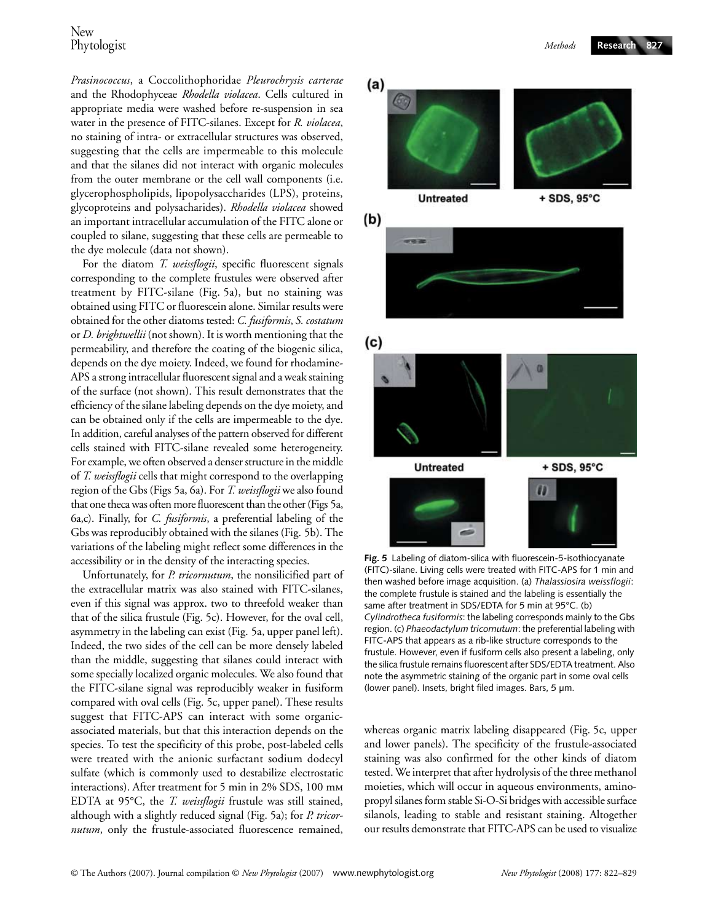*Prasinococcus*, a Coccolithophoridae *Pleurochrysis carterae* and the Rhodophyceae *Rhodella violacea*. Cells cultured in appropriate media were washed before re-suspension in sea water in the presence of FITC-silanes. Except for *R. violacea*, no staining of intra- or extracellular structures was observed, suggesting that the cells are impermeable to this molecule and that the silanes did not interact with organic molecules from the outer membrane or the cell wall components (i.e. glycerophospholipids, lipopolysaccharides (LPS), proteins, glycoproteins and polysacharides). *Rhodella violacea* showed an important intracellular accumulation of the FITC alone or coupled to silane, suggesting that these cells are permeable to the dye molecule (data not shown).

For the diatom *T. weissflogii*, specific fluorescent signals corresponding to the complete frustules were observed after treatment by FITC-silane (Fig. 5a), but no staining was obtained using FITC or fluorescein alone. Similar results were obtained for the other diatoms tested: *C. fusiformis*, *S. costatum* or *D. brightwellii* (not shown). It is worth mentioning that the permeability, and therefore the coating of the biogenic silica, depends on the dye moiety. Indeed, we found for rhodamine-APS a strong intracellular fluorescent signal and a weak staining of the surface (not shown). This result demonstrates that the efficiency of the silane labeling depends on the dye moiety, and can be obtained only if the cells are impermeable to the dye. In addition, careful analyses of the pattern observed for different cells stained with FITC-silane revealed some heterogeneity. For example, we often observed a denser structure in the middle of *T. weissflogii* cells that might correspond to the overlapping region of the Gbs (Figs 5a, 6a). For *T. weissflogii* we also found that one theca was often more fluorescent than the other (Figs 5a, 6a,c). Finally, for *C. fusiformis*, a preferential labeling of the Gbs was reproducibly obtained with the silanes (Fig. 5b). The variations of the labeling might reflect some differences in the accessibility or in the density of the interacting species.

Unfortunately, for *P. tricornutum*, the nonsilicified part of the extracellular matrix was also stained with FITC-silanes, even if this signal was approx. two to threefold weaker than that of the silica frustule (Fig. 5c). However, for the oval cell, asymmetry in the labeling can exist (Fig. 5a, upper panel left). Indeed, the two sides of the cell can be more densely labeled than the middle, suggesting that silanes could interact with some specially localized organic molecules. We also found that the FITC-silane signal was reproducibly weaker in fusiform compared with oval cells (Fig. 5c, upper panel). These results suggest that FITC-APS can interact with some organicassociated materials, but that this interaction depends on the species. To test the specificity of this probe, post-labeled cells were treated with the anionic surfactant sodium dodecyl sulfate (which is commonly used to destabilize electrostatic interactions). After treatment for 5 min in 2% SDS, 100 mm EDTA at 95°C, the *T. weissflogii* frustule was still stained, although with a slightly reduced signal (Fig. 5a); for *P. tricornutum*, only the frustule-associated fluorescence remained,





**Fig. 5** Labeling of diatom-silica with fluorescein-5-isothiocyanate (FITC)-silane. Living cells were treated with FITC-APS for 1 min and then washed before image acquisition. (a) *Thalassiosira weissflogii*: the complete frustule is stained and the labeling is essentially the same after treatment in SDS/EDTA for 5 min at 95°C. (b) *Cylindrotheca fusiformis*: the labeling corresponds mainly to the Gbs region. (c) *Phaeodactylum tricornutum*: the preferential labeling with FITC-APS that appears as a rib-like structure corresponds to the frustule. However, even if fusiform cells also present a labeling, only the silica frustule remains fluorescent after SDS/EDTA treatment. Also note the asymmetric staining of the organic part in some oval cells (lower panel). Insets, bright filed images. Bars, 5 µm.

whereas organic matrix labeling disappeared (Fig. 5c, upper and lower panels). The specificity of the frustule-associated staining was also confirmed for the other kinds of diatom tested. We interpret that after hydrolysis of the three methanol moieties, which will occur in aqueous environments, aminopropyl silanes form stable Si-O-Si bridges with accessible surface silanols, leading to stable and resistant staining. Altogether our results demonstrate that FITC-APS can be used to visualize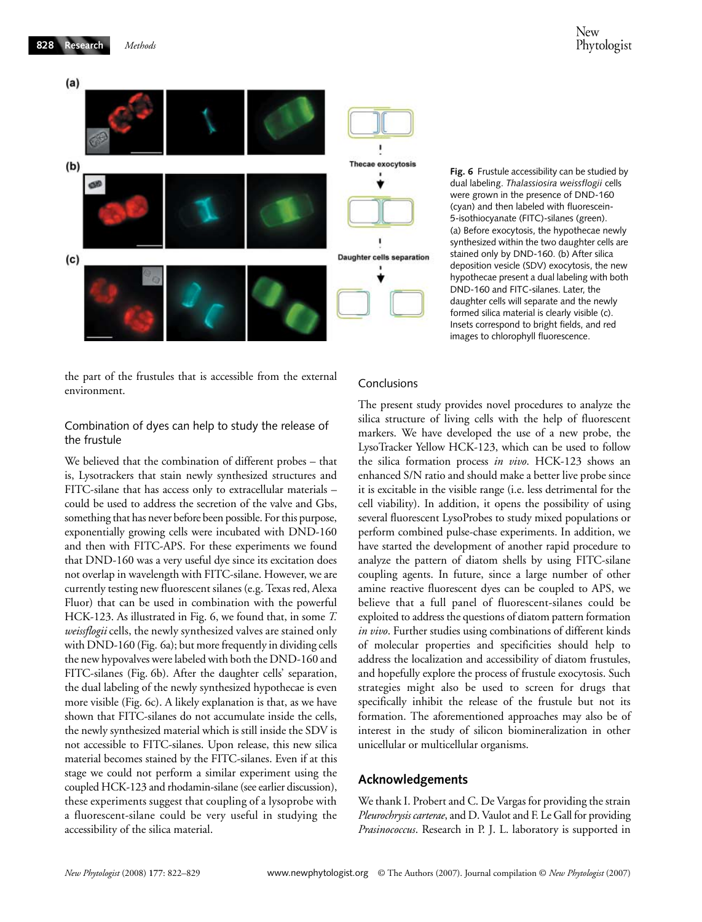

**Fig. 6** Frustule accessibility can be studied by dual labeling. *Thalassiosira weissflogii* cells were grown in the presence of DND-160 (cyan) and then labeled with fluorescein-5-isothiocyanate (FITC)-silanes (green). (a) Before exocytosis, the hypothecae newly synthesized within the two daughter cells are stained only by DND-160. (b) After silica deposition vesicle (SDV) exocytosis, the new hypothecae present a dual labeling with both DND-160 and FITC-silanes. Later, the daughter cells will separate and the newly formed silica material is clearly visible (c). Insets correspond to bright fields, and red images to chlorophyll fluorescence.

the part of the frustules that is accessible from the external environment.

# Combination of dyes can help to study the release of the frustule

We believed that the combination of different probes – that is, Lysotrackers that stain newly synthesized structures and FITC-silane that has access only to extracellular materials – could be used to address the secretion of the valve and Gbs, something that has never before been possible. For this purpose, exponentially growing cells were incubated with DND-160 and then with FITC-APS. For these experiments we found that DND-160 was a very useful dye since its excitation does not overlap in wavelength with FITC-silane. However, we are currently testing new fluorescent silanes (e.g. Texas red, Alexa Fluor) that can be used in combination with the powerful HCK-123. As illustrated in Fig. 6, we found that, in some *T. weissflogii* cells, the newly synthesized valves are stained only with DND-160 (Fig. 6a); but more frequently in dividing cells the new hypovalves were labeled with both the DND-160 and FITC-silanes (Fig. 6b). After the daughter cells' separation, the dual labeling of the newly synthesized hypothecae is even more visible (Fig. 6c). A likely explanation is that, as we have shown that FITC-silanes do not accumulate inside the cells, the newly synthesized material which is still inside the SDV is not accessible to FITC-silanes. Upon release, this new silica material becomes stained by the FITC-silanes. Even if at this stage we could not perform a similar experiment using the coupled HCK-123 and rhodamin-silane (see earlier discussion), these experiments suggest that coupling of a lysoprobe with a fluorescent-silane could be very useful in studying the accessibility of the silica material.

# Conclusions

The present study provides novel procedures to analyze the silica structure of living cells with the help of fluorescent markers. We have developed the use of a new probe, the LysoTracker Yellow HCK-123, which can be used to follow the silica formation process *in vivo*. HCK-123 shows an enhanced S/N ratio and should make a better live probe since it is excitable in the visible range (i.e. less detrimental for the cell viability). In addition, it opens the possibility of using several fluorescent LysoProbes to study mixed populations or perform combined pulse-chase experiments. In addition, we have started the development of another rapid procedure to analyze the pattern of diatom shells by using FITC-silane coupling agents. In future, since a large number of other amine reactive fluorescent dyes can be coupled to APS, we believe that a full panel of fluorescent-silanes could be exploited to address the questions of diatom pattern formation *in vivo*. Further studies using combinations of different kinds of molecular properties and specificities should help to address the localization and accessibility of diatom frustules, and hopefully explore the process of frustule exocytosis. Such strategies might also be used to screen for drugs that specifically inhibit the release of the frustule but not its formation. The aforementioned approaches may also be of interest in the study of silicon biomineralization in other unicellular or multicellular organisms.

#### **Acknowledgements**

We thank I. Probert and C. De Vargas for providing the strain *Pleurochrysis carterae*, and D. Vaulot and F. Le Gall for providing *Prasinococcus*. Research in P. J. L. laboratory is supported in